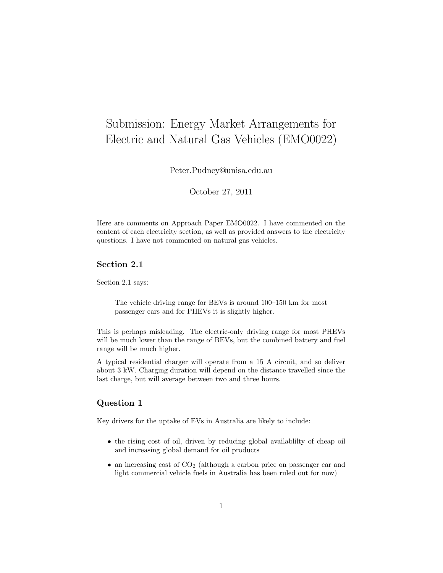# Submission: Energy Market Arrangements for Electric and Natural Gas Vehicles (EMO0022)

Peter.Pudney@unisa.edu.au

October 27, 2011

Here are comments on Approach Paper EMO0022. I have commented on the content of each electricity section, as well as provided answers to the electricity questions. I have not commented on natural gas vehicles.

## Section 2.1

Section 2.1 says:

The vehicle driving range for BEVs is around 100–150 km for most passenger cars and for PHEVs it is slightly higher.

This is perhaps misleading. The electric-only driving range for most PHEVs will be much lower than the range of BEVs, but the combined battery and fuel range will be much higher.

A typical residential charger will operate from a 15 A circuit, and so deliver about 3 kW. Charging duration will depend on the distance travelled since the last charge, but will average between two and three hours.

#### Question 1

Key drivers for the uptake of EVs in Australia are likely to include:

- the rising cost of oil, driven by reducing global availablilty of cheap oil and increasing global demand for oil products
- $\bullet$  an increasing cost of  $CO<sub>2</sub>$  (although a carbon price on passenger car and light commercial vehicle fuels in Australia has been ruled out for now)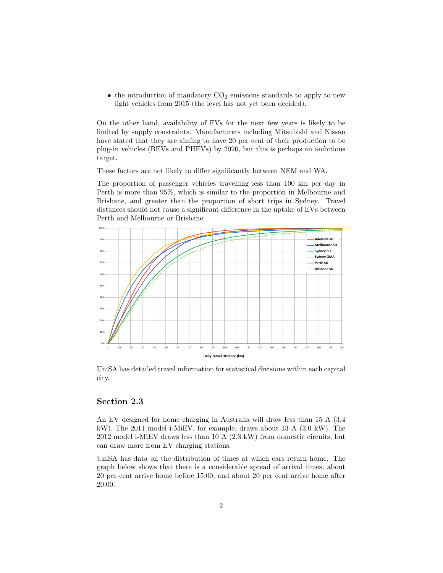• the introduction of mandatory  $CO<sub>2</sub>$  emissions standards to apply to new light vehicles from 2015 (the level has not yet been decided).

On the other hand, availability of EVs for the next few years is likely to be limited by supply constraints. Manufacturers including Mitsubishi and Nissan have stated that they are aiming to have 20 per cent of their production to be plug-in vehicles (BEVs and PHEVs) by 2020, but this is perhaps an ambitious target.

These factors are not likely to differ significantly between NEM and WA.

The proportion of passenger vehicles travelling less than 100 km per day in Perth is more than 95%, which is similar to the proportion in Melbourne and Brisbane, and greater than the proportion of short trips in Sydney. Travel distances should not cause a significant difference in the uptake of EVs between Perth and Melbourne or Brisbane.



UniSA has detailed travel information for statistical divisions within each capital city.

#### Section 2.3

An EV designed for home charging in Australia will draw less than 15 A (3.4 kW). The 2011 model i-MiEV, for example, draws about 13 A (3.0 kW). The 2012 model i-MiEV draws less than 10 A (2.3 kW) from domestic circuits, but can draw more from EV charging stations.

UniSA has data on the distribution of times at which cars return home. The graph below shows that there is a considerable spread of arrival times; about 20 per cent arrive home before 15:00, and about 20 per cent arrive home after 20:00.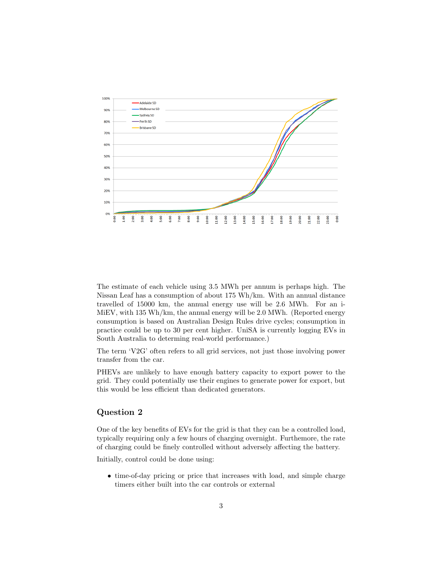

The estimate of each vehicle using 3.5 MWh per annum is perhaps high. The Nissan Leaf has a consumption of about 175 Wh/km. With an annual distance travelled of 15000 km, the annual energy use will be 2.6 MWh. For an i-MiEV, with 135 Wh/km, the annual energy will be 2.0 MWh. (Reported energy consumption is based on Australian Design Rules drive cycles; consumption in practice could be up to 30 per cent higher. UniSA is currently logging EVs in South Australia to determing real-world performance.)

The term 'V2G' often refers to all grid services, not just those involving power transfer from the car.

PHEVs are unlikely to have enough battery capacity to export power to the grid. They could potentially use their engines to generate power for export, but this would be less efficient than dedicated generators.

#### Question 2

One of the key benefits of EVs for the grid is that they can be a controlled load, typically requiring only a few hours of charging overnight. Furthemore, the rate of charging could be finely controlled without adversely affecting the battery.

Initially, control could be done using:

• time-of-day pricing or price that increases with load, and simple charge timers either built into the car controls or external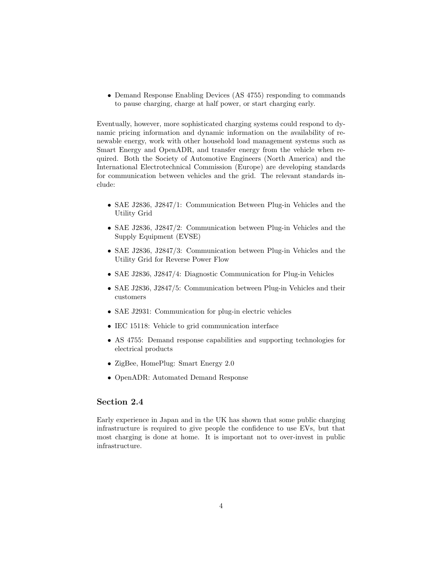• Demand Response Enabling Devices (AS 4755) responding to commands to pause charging, charge at half power, or start charging early.

Eventually, however, more sophisticated charging systems could respond to dynamic pricing information and dynamic information on the availability of renewable energy, work with other household load management systems such as Smart Energy and OpenADR, and transfer energy from the vehicle when required. Both the Society of Automotive Engineers (North America) and the International Electrotechnical Commission (Europe) are developing standards for communication between vehicles and the grid. The relevant standards include:

- SAE J2836, J2847/1: Communication Between Plug-in Vehicles and the Utility Grid
- SAE J2836, J2847/2: Communication between Plug-in Vehicles and the Supply Equipment (EVSE)
- SAE J2836, J2847/3: Communication between Plug-in Vehicles and the Utility Grid for Reverse Power Flow
- SAE J2836, J2847/4: Diagnostic Communication for Plug-in Vehicles
- SAE J2836, J2847/5: Communication between Plug-in Vehicles and their customers
- SAE J2931: Communication for plug-in electric vehicles
- IEC 15118: Vehicle to grid communication interface
- AS 4755: Demand response capabilities and supporting technologies for electrical products
- ZigBee, HomePlug: Smart Energy 2.0
- OpenADR: Automated Demand Response

## Section 2.4

Early experience in Japan and in the UK has shown that some public charging infrastructure is required to give people the confidence to use EVs, but that most charging is done at home. It is important not to over-invest in public infrastructure.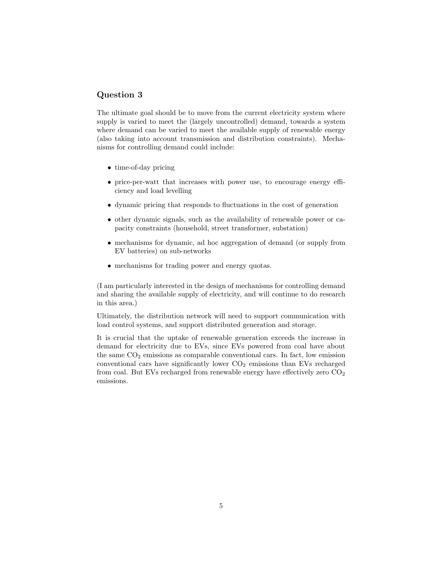## Question 3

The ultimate goal should be to move from the current electricity system where supply is varied to meet the (largely uncontrolled) demand, towards a system where demand can be varied to meet the available supply of renewable energy (also taking into account transmission and distribution constraints). Mechanisms for controlling demand could include:

- time-of-day pricing
- price-per-watt that increases with power use, to encourage energy efficiency and load levelling
- dynamic pricing that responds to fluctuations in the cost of generation
- other dynamic signals, such as the availability of renewable power or capacity constraints (household, street transformer, substation)
- mechanisms for dynamic, ad hoc aggregation of demand (or supply from EV batteries) on sub-networks
- mechanisms for trading power and energy quotas.

(I am particularly interested in the design of mechanisms for controlling demand and sharing the available supply of electricity, and will continue to do research in this area.)

Ultimately, the distribution network will need to support communication with load control systems, and support distributed generation and storage.

It is crucial that the uptake of renewable generation exceeds the increase in demand for electricity due to EVs, since EVs powered from coal have about the same  $CO<sub>2</sub>$  emissions as comparable conventional cars. In fact, low emission conventional cars have significantly lower  $CO<sub>2</sub>$  emissions than EVs recharged from coal. But EVs recharged from renewable energy have effectively zero  $CO<sub>2</sub>$ emissions.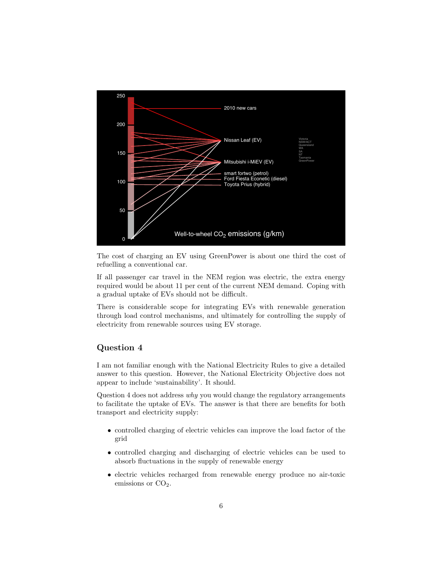

The cost of charging an EV using GreenPower is about one third the cost of refuelling a conventional car.

If all passenger car travel in the NEM region was electric, the extra energy required would be about 11 per cent of the current NEM demand. Coping with a gradual uptake of EVs should not be difficult.

There is considerable scope for integrating EVs with renewable generation through load control mechanisms, and ultimately for controlling the supply of electricity from renewable sources using EV storage.

#### Question 4

I am not familiar enough with the National Electricity Rules to give a detailed answer to this question. However, the National Electricity Objective does not appear to include 'sustainability'. It should.

Question 4 does not address why you would change the regulatory arrangements to facilitate the uptake of EVs. The answer is that there are benefits for both transport and electricity supply:

- controlled charging of electric vehicles can improve the load factor of the grid
- controlled charging and discharging of electric vehicles can be used to absorb fluctuations in the supply of renewable energy
- electric vehicles recharged from renewable energy produce no air-toxic emissions or  $CO<sub>2</sub>$ .